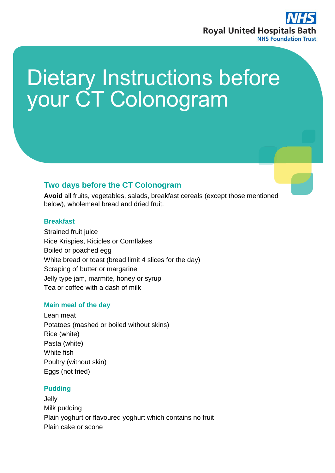

# Dietary Instructions before your CT Colonogram

## **Two days before the CT Colonogram**

**Avoid** all fruits, vegetables, salads, breakfast cereals (except those mentioned below), wholemeal bread and dried fruit.

### **Breakfast**

Strained fruit juice Rice Krispies, Ricicles or Cornflakes Boiled or poached egg White bread or toast (bread limit 4 slices for the day) Scraping of butter or margarine Jelly type jam, marmite, honey or syrup Tea or coffee with a dash of milk

## **Main meal of the day**

Lean meat Potatoes (mashed or boiled without skins) Rice (white) Pasta (white) White fish Poultry (without skin) Eggs (not fried)

## **Pudding**

Jelly Milk pudding Plain yoghurt or flavoured yoghurt which contains no fruit Plain cake or scone